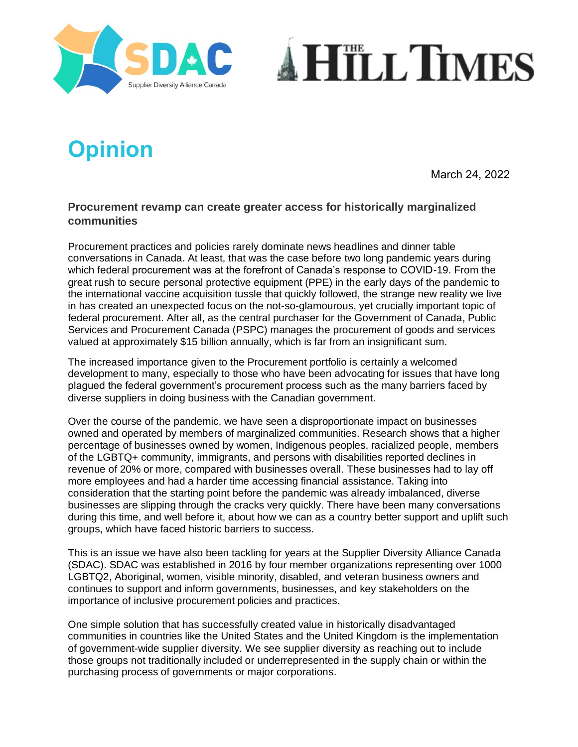



## **Opinion**

March 24, 2022

## **Procurement revamp can create greater access for historically marginalized communities**

Procurement practices and policies rarely dominate news headlines and dinner table conversations in Canada. At least, that was the case before two long pandemic years during which federal procurement was at the forefront of Canada's response to COVID-19. From the great rush to secure personal protective equipment (PPE) in the early days of the pandemic to the international vaccine acquisition tussle that quickly followed, the strange new reality we live in has created an unexpected focus on the not-so-glamourous, yet crucially important topic of federal procurement. After all, as the central purchaser for the Government of Canada, Public Services and Procurement Canada (PSPC) manages the procurement of goods and services valued at approximately \$15 billion annually, which is far from an insignificant sum.

The increased importance given to the Procurement portfolio is certainly a welcomed development to many, especially to those who have been advocating for issues that have long plagued the federal government's procurement process such as the many barriers faced by diverse suppliers in doing business with the Canadian government.

Over the course of the pandemic, we have seen a disproportionate impact on businesses owned and operated by members of marginalized communities. Research shows that a higher percentage of businesses owned by women, Indigenous peoples, racialized people, members of the LGBTQ+ community, immigrants, and persons with disabilities reported declines in revenue of 20% or more, compared with businesses overall. These businesses had to lay off more employees and had a harder time accessing financial assistance. Taking into consideration that the starting point before the pandemic was already imbalanced, diverse businesses are slipping through the cracks very quickly. There have been many conversations during this time, and well before it, about how we can as a country better support and uplift such groups, which have faced historic barriers to success.

This is an issue we have also been tackling for years at the Supplier Diversity Alliance Canada (SDAC). SDAC was established in 2016 by four member organizations representing over 1000 LGBTQ2, Aboriginal, women, visible minority, disabled, and veteran business owners and continues to support and inform governments, businesses, and key stakeholders on the importance of inclusive procurement policies and practices.

One simple solution that has successfully created value in historically disadvantaged communities in countries like the United States and the United Kingdom is the implementation of government-wide supplier diversity. We see supplier diversity as reaching out to include those groups not traditionally included or underrepresented in the supply chain or within the purchasing process of governments or major corporations.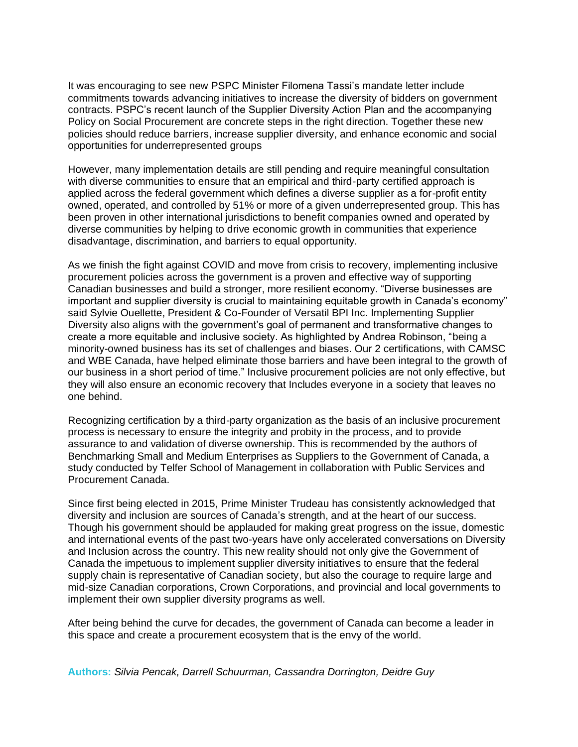It was encouraging to see new PSPC Minister Filomena Tassi's mandate letter include commitments towards advancing initiatives to increase the diversity of bidders on government contracts. PSPC's recent launch of the Supplier Diversity Action Plan and the accompanying Policy on Social Procurement are concrete steps in the right direction. Together these new policies should reduce barriers, increase supplier diversity, and enhance economic and social opportunities for underrepresented groups

However, many implementation details are still pending and require meaningful consultation with diverse communities to ensure that an empirical and third-party certified approach is applied across the federal government which defines a diverse supplier as a for-profit entity owned, operated, and controlled by 51% or more of a given underrepresented group. This has been proven in other international jurisdictions to benefit companies owned and operated by diverse communities by helping to drive economic growth in communities that experience disadvantage, discrimination, and barriers to equal opportunity.

As we finish the fight against COVID and move from crisis to recovery, implementing inclusive procurement policies across the government is a proven and effective way of supporting Canadian businesses and build a stronger, more resilient economy. "Diverse businesses are important and supplier diversity is crucial to maintaining equitable growth in Canada's economy" said Sylvie Ouellette, President & Co-Founder of Versatil BPI Inc. Implementing Supplier Diversity also aligns with the government's goal of permanent and transformative changes to create a more equitable and inclusive society. As highlighted by Andrea Robinson, "being a minority-owned business has its set of challenges and biases. Our 2 certifications, with CAMSC and WBE Canada, have helped eliminate those barriers and have been integral to the growth of our business in a short period of time." Inclusive procurement policies are not only effective, but they will also ensure an economic recovery that Includes everyone in a society that leaves no one behind.

Recognizing certification by a third-party organization as the basis of an inclusive procurement process is necessary to ensure the integrity and probity in the process, and to provide assurance to and validation of diverse ownership. This is recommended by the authors of Benchmarking Small and Medium Enterprises as Suppliers to the Government of Canada, a study conducted by Telfer School of Management in collaboration with Public Services and Procurement Canada.

Since first being elected in 2015, Prime Minister Trudeau has consistently acknowledged that diversity and inclusion are sources of Canada's strength, and at the heart of our success. Though his government should be applauded for making great progress on the issue, domestic and international events of the past two-years have only accelerated conversations on Diversity and Inclusion across the country. This new reality should not only give the Government of Canada the impetuous to implement supplier diversity initiatives to ensure that the federal supply chain is representative of Canadian society, but also the courage to require large and mid-size Canadian corporations, Crown Corporations, and provincial and local governments to implement their own supplier diversity programs as well.

After being behind the curve for decades, the government of Canada can become a leader in this space and create a procurement ecosystem that is the envy of the world.

**Authors:** *Silvia Pencak, Darrell Schuurman, Cassandra Dorrington, Deidre Guy*